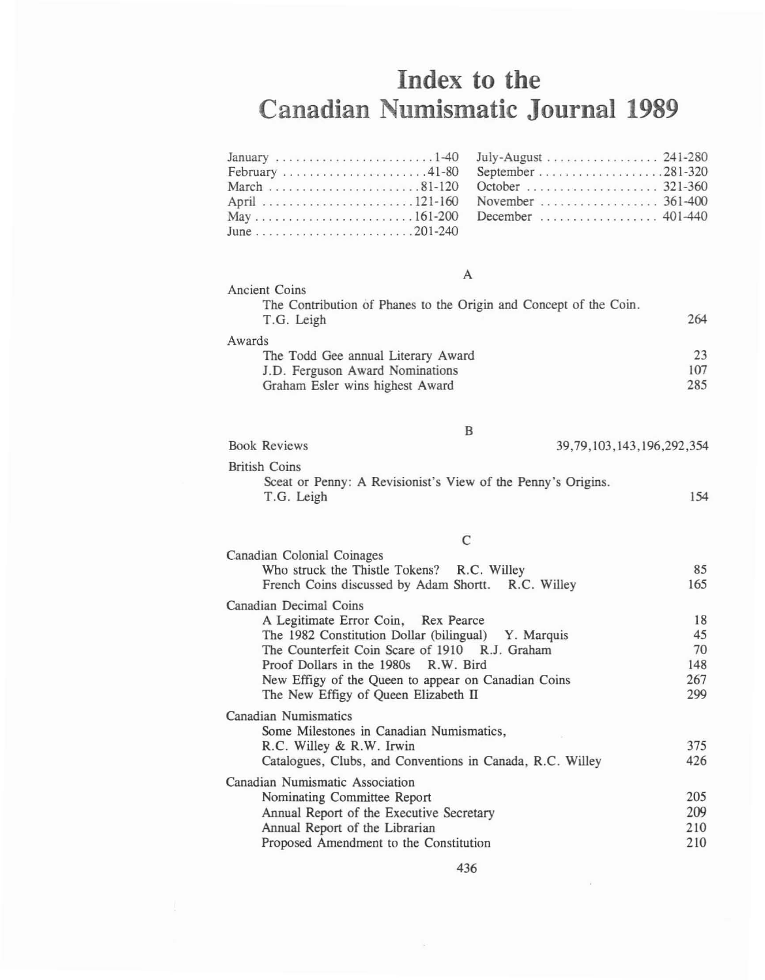## **Index to the Canadian Numismatic Journal 1989**

| A                                                                                                                  |                  |  |
|--------------------------------------------------------------------------------------------------------------------|------------------|--|
| Ancient Coins<br>The Contribution of Phanes to the Origin and Concept of the Coin.<br>T.G. Leigh                   | 264              |  |
| Awards<br>The Todd Gee annual Literary Award<br>J.D. Ferguson Award Nominations<br>Graham Esler wins highest Award | 23<br>107<br>285 |  |
| B<br><b>Book Reviews</b><br>39, 79, 103, 143, 196, 292, 354                                                        |                  |  |
| <b>British Coins</b><br>Sceat or Penny: A Revisionist's View of the Penny's Origins.<br>T.G. Leigh<br>154          |                  |  |
|                                                                                                                    |                  |  |

| Canadian Colonial Coinages<br>Who struck the Thistle Tokens? R.C. Willey | 85  |
|--------------------------------------------------------------------------|-----|
| French Coins discussed by Adam Shortt. R.C. Willey                       | 165 |
| Canadian Decimal Coins                                                   |     |
| A Legitimate Error Coin, Rex Pearce                                      | 18  |
| The 1982 Constitution Dollar (bilingual) Y. Marquis                      | 45  |
| The Counterfeit Coin Scare of 1910 R.J. Graham                           | 70  |
| Proof Dollars in the 1980s R.W. Bird                                     | 148 |
| New Effigy of the Queen to appear on Canadian Coins                      | 267 |
| The New Effigy of Queen Elizabeth II                                     | 299 |
| Canadian Numismatics                                                     |     |
| Some Milestones in Canadian Numismatics,                                 |     |
| R.C. Willey & R.W. Irwin                                                 | 375 |
| Catalogues, Clubs, and Conventions in Canada, R.C. Willey                | 426 |
| Canadian Numismatic Association                                          |     |
| Nominating Committee Report                                              | 205 |
| Annual Report of the Executive Secretary                                 | 209 |
| Annual Report of the Librarian                                           | 210 |
| Proposed Amendment to the Constitution                                   | 210 |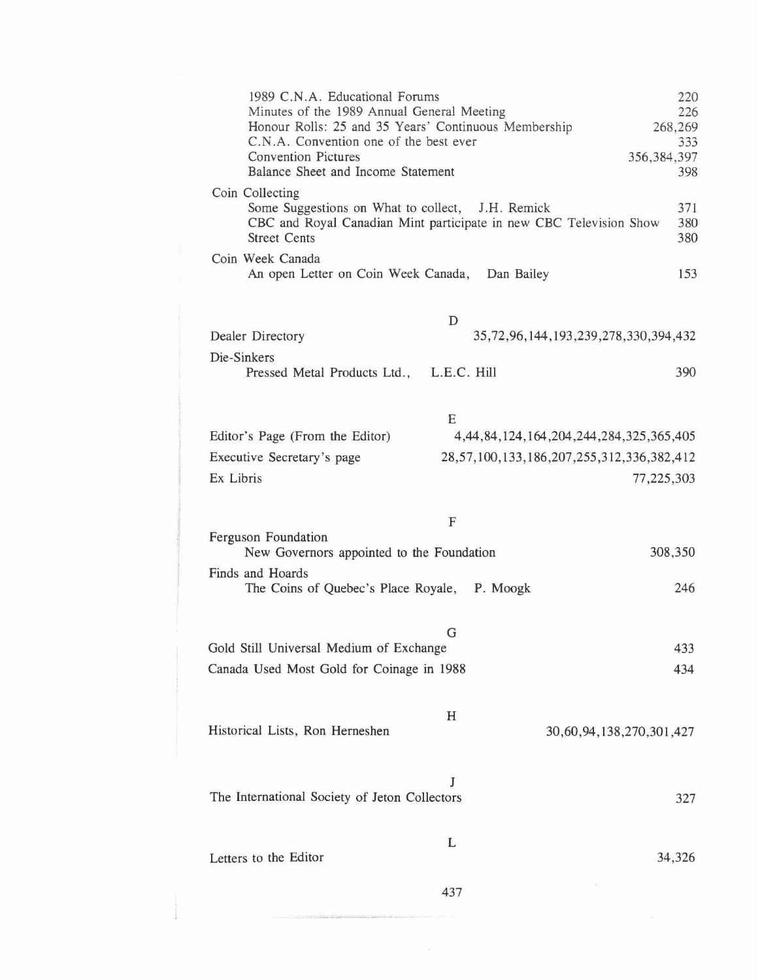| 1989 C.N.A. Educational Forums<br>Minutes of the 1989 Annual General Meeting<br>Honour Rolls: 25 and 35 Years' Continuous Membership<br>C.N.A. Convention one of the best ever<br><b>Convention Pictures</b><br>Balance Sheet and Income Statement | 220<br>226<br>268,269<br>333<br>356, 384, 397<br>398 |
|----------------------------------------------------------------------------------------------------------------------------------------------------------------------------------------------------------------------------------------------------|------------------------------------------------------|
| Coin Collecting<br>Some Suggestions on What to collect, J.H. Remick<br>CBC and Royal Canadian Mint participate in new CBC Television Show<br><b>Street Cents</b>                                                                                   | 371<br>380<br>380                                    |
| Coin Week Canada<br>An open Letter on Coin Week Canada, Dan Bailey                                                                                                                                                                                 | 153                                                  |
| D<br>Dealer Directory                                                                                                                                                                                                                              | 35,72,96,144,193,239,278,330,394,432                 |
| Die-Sinkers<br>L.E.C. Hill<br>Pressed Metal Products Ltd.,                                                                                                                                                                                         | 390                                                  |
| E<br>Editor's Page (From the Editor)                                                                                                                                                                                                               | 4, 44, 84, 124, 164, 204, 244, 284, 325, 365, 405    |
| 28,57,100,133,186,207,255,312,336,382,412<br>Executive Secretary's page<br>Ex Libris                                                                                                                                                               | 77,225,303                                           |
| F                                                                                                                                                                                                                                                  |                                                      |
| Ferguson Foundation<br>New Governors appointed to the Foundation                                                                                                                                                                                   | 308,350                                              |
| Finds and Hoards<br>The Coins of Quebec's Place Royale, P. Moogk                                                                                                                                                                                   | 246                                                  |
| G<br>Gold Still Universal Medium of Exchange<br>Canada Used Most Gold for Coinage in 1988                                                                                                                                                          | 433<br>434                                           |
| Η<br>Historical Lists, Ron Herneshen                                                                                                                                                                                                               | 30,60,94,138,270,301,427                             |
| J<br>The International Society of Jeton Collectors                                                                                                                                                                                                 | 327                                                  |
| L<br>Letters to the Editor                                                                                                                                                                                                                         | 34,326                                               |
| 437                                                                                                                                                                                                                                                |                                                      |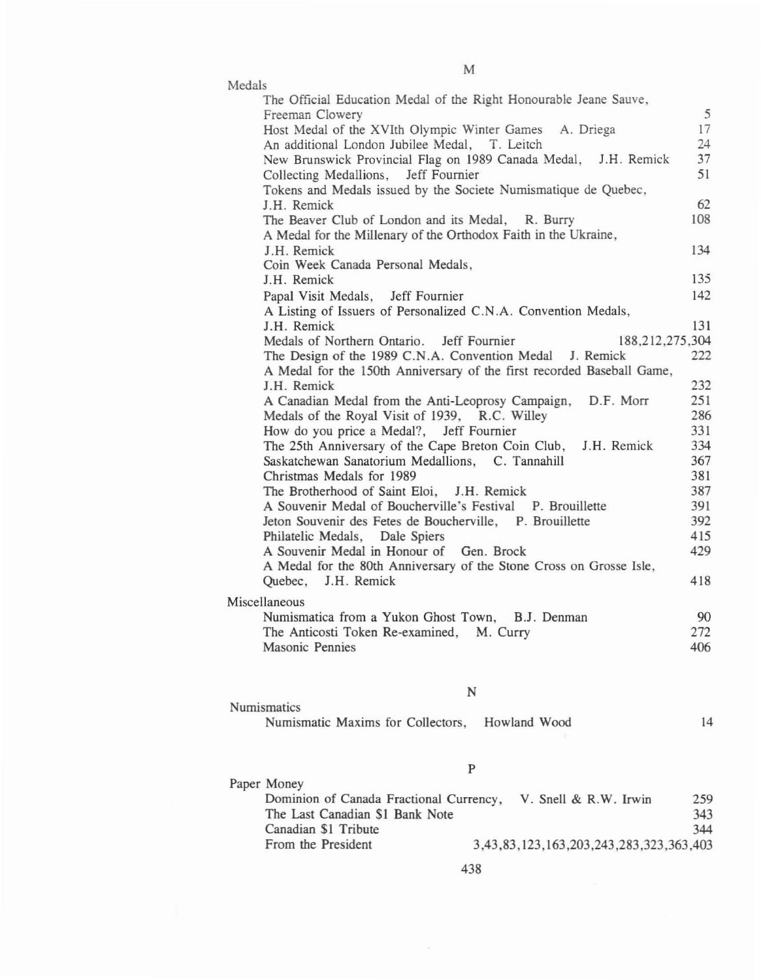| The Official Education Medal of the Right Honourable Jeane Sauve,<br>5<br>Freeman Clowery<br>Host Medal of the XVIth Olympic Winter Games A. Driega<br>17<br>An additional London Jubilee Medal, T. Leitch<br>24<br>37<br>New Brunswick Provincial Flag on 1989 Canada Medal, J.H. Remick<br>51<br>Collecting Medallions, Jeff Fournier<br>Tokens and Medals issued by the Societe Numismatique de Quebec,<br>62<br>J.H. Remick<br>108<br>The Beaver Club of London and its Medal, R. Burry<br>A Medal for the Millenary of the Orthodox Faith in the Ukraine,<br>J.H. Remick<br>134<br>Coin Week Canada Personal Medals,<br>135<br>J.H. Remick<br>142<br>Papal Visit Medals, Jeff Fournier<br>A Listing of Issuers of Personalized C.N.A. Convention Medals,<br>131<br>J.H. Remick<br>188,212,275,304<br>Medals of Northern Ontario. Jeff Fournier<br>The Design of the 1989 C.N.A. Convention Medal J. Remick<br>222<br>A Medal for the 150th Anniversary of the first recorded Baseball Game,<br>232<br>J.H. Remick<br>251<br>A Canadian Medal from the Anti-Leoprosy Campaign, D.F. Morr<br>286<br>Medals of the Royal Visit of 1939, R.C. Willey<br>331<br>How do you price a Medal?, Jeff Fournier<br>334<br>The 25th Anniversary of the Cape Breton Coin Club, J.H. Remick<br>Saskatchewan Sanatorium Medallions, C. Tannahill<br>367<br>381<br>Christmas Medals for 1989<br>387<br>The Brotherhood of Saint Eloi, J.H. Remick<br>A Souvenir Medal of Boucherville's Festival P. Brouillette<br>391<br>392<br>Jeton Souvenir des Fetes de Boucherville, P. Brouillette<br>415<br>Philatelic Medals, Dale Spiers<br>429<br>A Souvenir Medal in Honour of Gen. Brock<br>A Medal for the 80th Anniversary of the Stone Cross on Grosse Isle,<br>Quebec, J.H. Remick<br>418<br>Miscellaneous<br>Numismatica from a Yukon Ghost Town, B.J. Denman<br>90<br>The Anticosti Token Re-examined, M. Curry<br>272<br>Masonic Pennies<br>406 | Medals |  |
|-----------------------------------------------------------------------------------------------------------------------------------------------------------------------------------------------------------------------------------------------------------------------------------------------------------------------------------------------------------------------------------------------------------------------------------------------------------------------------------------------------------------------------------------------------------------------------------------------------------------------------------------------------------------------------------------------------------------------------------------------------------------------------------------------------------------------------------------------------------------------------------------------------------------------------------------------------------------------------------------------------------------------------------------------------------------------------------------------------------------------------------------------------------------------------------------------------------------------------------------------------------------------------------------------------------------------------------------------------------------------------------------------------------------------------------------------------------------------------------------------------------------------------------------------------------------------------------------------------------------------------------------------------------------------------------------------------------------------------------------------------------------------------------------------------------------------------------------------------------------------------------------------------------------------------------------|--------|--|
|                                                                                                                                                                                                                                                                                                                                                                                                                                                                                                                                                                                                                                                                                                                                                                                                                                                                                                                                                                                                                                                                                                                                                                                                                                                                                                                                                                                                                                                                                                                                                                                                                                                                                                                                                                                                                                                                                                                                         |        |  |
|                                                                                                                                                                                                                                                                                                                                                                                                                                                                                                                                                                                                                                                                                                                                                                                                                                                                                                                                                                                                                                                                                                                                                                                                                                                                                                                                                                                                                                                                                                                                                                                                                                                                                                                                                                                                                                                                                                                                         |        |  |
|                                                                                                                                                                                                                                                                                                                                                                                                                                                                                                                                                                                                                                                                                                                                                                                                                                                                                                                                                                                                                                                                                                                                                                                                                                                                                                                                                                                                                                                                                                                                                                                                                                                                                                                                                                                                                                                                                                                                         |        |  |
|                                                                                                                                                                                                                                                                                                                                                                                                                                                                                                                                                                                                                                                                                                                                                                                                                                                                                                                                                                                                                                                                                                                                                                                                                                                                                                                                                                                                                                                                                                                                                                                                                                                                                                                                                                                                                                                                                                                                         |        |  |
|                                                                                                                                                                                                                                                                                                                                                                                                                                                                                                                                                                                                                                                                                                                                                                                                                                                                                                                                                                                                                                                                                                                                                                                                                                                                                                                                                                                                                                                                                                                                                                                                                                                                                                                                                                                                                                                                                                                                         |        |  |
|                                                                                                                                                                                                                                                                                                                                                                                                                                                                                                                                                                                                                                                                                                                                                                                                                                                                                                                                                                                                                                                                                                                                                                                                                                                                                                                                                                                                                                                                                                                                                                                                                                                                                                                                                                                                                                                                                                                                         |        |  |
|                                                                                                                                                                                                                                                                                                                                                                                                                                                                                                                                                                                                                                                                                                                                                                                                                                                                                                                                                                                                                                                                                                                                                                                                                                                                                                                                                                                                                                                                                                                                                                                                                                                                                                                                                                                                                                                                                                                                         |        |  |
|                                                                                                                                                                                                                                                                                                                                                                                                                                                                                                                                                                                                                                                                                                                                                                                                                                                                                                                                                                                                                                                                                                                                                                                                                                                                                                                                                                                                                                                                                                                                                                                                                                                                                                                                                                                                                                                                                                                                         |        |  |
|                                                                                                                                                                                                                                                                                                                                                                                                                                                                                                                                                                                                                                                                                                                                                                                                                                                                                                                                                                                                                                                                                                                                                                                                                                                                                                                                                                                                                                                                                                                                                                                                                                                                                                                                                                                                                                                                                                                                         |        |  |
|                                                                                                                                                                                                                                                                                                                                                                                                                                                                                                                                                                                                                                                                                                                                                                                                                                                                                                                                                                                                                                                                                                                                                                                                                                                                                                                                                                                                                                                                                                                                                                                                                                                                                                                                                                                                                                                                                                                                         |        |  |
|                                                                                                                                                                                                                                                                                                                                                                                                                                                                                                                                                                                                                                                                                                                                                                                                                                                                                                                                                                                                                                                                                                                                                                                                                                                                                                                                                                                                                                                                                                                                                                                                                                                                                                                                                                                                                                                                                                                                         |        |  |
|                                                                                                                                                                                                                                                                                                                                                                                                                                                                                                                                                                                                                                                                                                                                                                                                                                                                                                                                                                                                                                                                                                                                                                                                                                                                                                                                                                                                                                                                                                                                                                                                                                                                                                                                                                                                                                                                                                                                         |        |  |
|                                                                                                                                                                                                                                                                                                                                                                                                                                                                                                                                                                                                                                                                                                                                                                                                                                                                                                                                                                                                                                                                                                                                                                                                                                                                                                                                                                                                                                                                                                                                                                                                                                                                                                                                                                                                                                                                                                                                         |        |  |
|                                                                                                                                                                                                                                                                                                                                                                                                                                                                                                                                                                                                                                                                                                                                                                                                                                                                                                                                                                                                                                                                                                                                                                                                                                                                                                                                                                                                                                                                                                                                                                                                                                                                                                                                                                                                                                                                                                                                         |        |  |
|                                                                                                                                                                                                                                                                                                                                                                                                                                                                                                                                                                                                                                                                                                                                                                                                                                                                                                                                                                                                                                                                                                                                                                                                                                                                                                                                                                                                                                                                                                                                                                                                                                                                                                                                                                                                                                                                                                                                         |        |  |
|                                                                                                                                                                                                                                                                                                                                                                                                                                                                                                                                                                                                                                                                                                                                                                                                                                                                                                                                                                                                                                                                                                                                                                                                                                                                                                                                                                                                                                                                                                                                                                                                                                                                                                                                                                                                                                                                                                                                         |        |  |
|                                                                                                                                                                                                                                                                                                                                                                                                                                                                                                                                                                                                                                                                                                                                                                                                                                                                                                                                                                                                                                                                                                                                                                                                                                                                                                                                                                                                                                                                                                                                                                                                                                                                                                                                                                                                                                                                                                                                         |        |  |
|                                                                                                                                                                                                                                                                                                                                                                                                                                                                                                                                                                                                                                                                                                                                                                                                                                                                                                                                                                                                                                                                                                                                                                                                                                                                                                                                                                                                                                                                                                                                                                                                                                                                                                                                                                                                                                                                                                                                         |        |  |
|                                                                                                                                                                                                                                                                                                                                                                                                                                                                                                                                                                                                                                                                                                                                                                                                                                                                                                                                                                                                                                                                                                                                                                                                                                                                                                                                                                                                                                                                                                                                                                                                                                                                                                                                                                                                                                                                                                                                         |        |  |
|                                                                                                                                                                                                                                                                                                                                                                                                                                                                                                                                                                                                                                                                                                                                                                                                                                                                                                                                                                                                                                                                                                                                                                                                                                                                                                                                                                                                                                                                                                                                                                                                                                                                                                                                                                                                                                                                                                                                         |        |  |
|                                                                                                                                                                                                                                                                                                                                                                                                                                                                                                                                                                                                                                                                                                                                                                                                                                                                                                                                                                                                                                                                                                                                                                                                                                                                                                                                                                                                                                                                                                                                                                                                                                                                                                                                                                                                                                                                                                                                         |        |  |
|                                                                                                                                                                                                                                                                                                                                                                                                                                                                                                                                                                                                                                                                                                                                                                                                                                                                                                                                                                                                                                                                                                                                                                                                                                                                                                                                                                                                                                                                                                                                                                                                                                                                                                                                                                                                                                                                                                                                         |        |  |
|                                                                                                                                                                                                                                                                                                                                                                                                                                                                                                                                                                                                                                                                                                                                                                                                                                                                                                                                                                                                                                                                                                                                                                                                                                                                                                                                                                                                                                                                                                                                                                                                                                                                                                                                                                                                                                                                                                                                         |        |  |
|                                                                                                                                                                                                                                                                                                                                                                                                                                                                                                                                                                                                                                                                                                                                                                                                                                                                                                                                                                                                                                                                                                                                                                                                                                                                                                                                                                                                                                                                                                                                                                                                                                                                                                                                                                                                                                                                                                                                         |        |  |
|                                                                                                                                                                                                                                                                                                                                                                                                                                                                                                                                                                                                                                                                                                                                                                                                                                                                                                                                                                                                                                                                                                                                                                                                                                                                                                                                                                                                                                                                                                                                                                                                                                                                                                                                                                                                                                                                                                                                         |        |  |
|                                                                                                                                                                                                                                                                                                                                                                                                                                                                                                                                                                                                                                                                                                                                                                                                                                                                                                                                                                                                                                                                                                                                                                                                                                                                                                                                                                                                                                                                                                                                                                                                                                                                                                                                                                                                                                                                                                                                         |        |  |
|                                                                                                                                                                                                                                                                                                                                                                                                                                                                                                                                                                                                                                                                                                                                                                                                                                                                                                                                                                                                                                                                                                                                                                                                                                                                                                                                                                                                                                                                                                                                                                                                                                                                                                                                                                                                                                                                                                                                         |        |  |
|                                                                                                                                                                                                                                                                                                                                                                                                                                                                                                                                                                                                                                                                                                                                                                                                                                                                                                                                                                                                                                                                                                                                                                                                                                                                                                                                                                                                                                                                                                                                                                                                                                                                                                                                                                                                                                                                                                                                         |        |  |
|                                                                                                                                                                                                                                                                                                                                                                                                                                                                                                                                                                                                                                                                                                                                                                                                                                                                                                                                                                                                                                                                                                                                                                                                                                                                                                                                                                                                                                                                                                                                                                                                                                                                                                                                                                                                                                                                                                                                         |        |  |
|                                                                                                                                                                                                                                                                                                                                                                                                                                                                                                                                                                                                                                                                                                                                                                                                                                                                                                                                                                                                                                                                                                                                                                                                                                                                                                                                                                                                                                                                                                                                                                                                                                                                                                                                                                                                                                                                                                                                         |        |  |
|                                                                                                                                                                                                                                                                                                                                                                                                                                                                                                                                                                                                                                                                                                                                                                                                                                                                                                                                                                                                                                                                                                                                                                                                                                                                                                                                                                                                                                                                                                                                                                                                                                                                                                                                                                                                                                                                                                                                         |        |  |
|                                                                                                                                                                                                                                                                                                                                                                                                                                                                                                                                                                                                                                                                                                                                                                                                                                                                                                                                                                                                                                                                                                                                                                                                                                                                                                                                                                                                                                                                                                                                                                                                                                                                                                                                                                                                                                                                                                                                         |        |  |
|                                                                                                                                                                                                                                                                                                                                                                                                                                                                                                                                                                                                                                                                                                                                                                                                                                                                                                                                                                                                                                                                                                                                                                                                                                                                                                                                                                                                                                                                                                                                                                                                                                                                                                                                                                                                                                                                                                                                         |        |  |
|                                                                                                                                                                                                                                                                                                                                                                                                                                                                                                                                                                                                                                                                                                                                                                                                                                                                                                                                                                                                                                                                                                                                                                                                                                                                                                                                                                                                                                                                                                                                                                                                                                                                                                                                                                                                                                                                                                                                         |        |  |
|                                                                                                                                                                                                                                                                                                                                                                                                                                                                                                                                                                                                                                                                                                                                                                                                                                                                                                                                                                                                                                                                                                                                                                                                                                                                                                                                                                                                                                                                                                                                                                                                                                                                                                                                                                                                                                                                                                                                         |        |  |
|                                                                                                                                                                                                                                                                                                                                                                                                                                                                                                                                                                                                                                                                                                                                                                                                                                                                                                                                                                                                                                                                                                                                                                                                                                                                                                                                                                                                                                                                                                                                                                                                                                                                                                                                                                                                                                                                                                                                         |        |  |
|                                                                                                                                                                                                                                                                                                                                                                                                                                                                                                                                                                                                                                                                                                                                                                                                                                                                                                                                                                                                                                                                                                                                                                                                                                                                                                                                                                                                                                                                                                                                                                                                                                                                                                                                                                                                                                                                                                                                         |        |  |
|                                                                                                                                                                                                                                                                                                                                                                                                                                                                                                                                                                                                                                                                                                                                                                                                                                                                                                                                                                                                                                                                                                                                                                                                                                                                                                                                                                                                                                                                                                                                                                                                                                                                                                                                                                                                                                                                                                                                         |        |  |

N

| Numismatics                                    |  |
|------------------------------------------------|--|
| Numismatic Maxims for Collectors, Howland Wood |  |

| Paper Money                             |                                         |     |
|-----------------------------------------|-----------------------------------------|-----|
| Dominion of Canada Fractional Currency, | V. Snell & R.W. Irwin                   | 259 |
| The Last Canadian \$1 Bank Note         |                                         | 343 |
| Canadian \$1 Tribute                    |                                         | 344 |
| From the President                      | 3,43,83,123,163,203,243,283,323,363,403 |     |

438